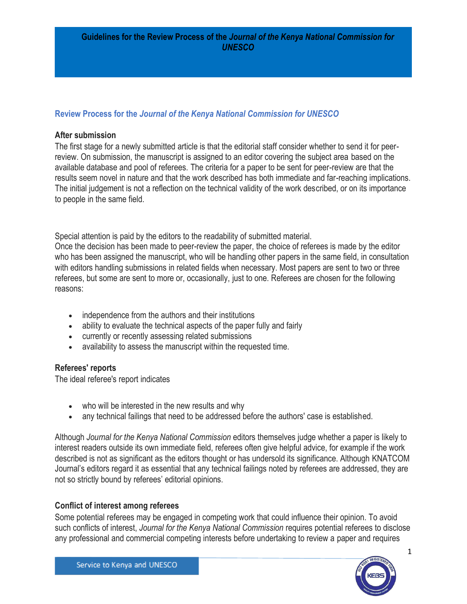# **Review Process for the** *Journal of the Kenya National Commission for UNESCO*

## **After submission**

The first stage for a newly submitted article is that the editorial staff consider whether to send it for peerreview. On submission, the manuscript is assigned to an editor covering the subject area based on the available database and pool of referees. The criteria for a paper to be sent for peer-review are that the results seem novel in nature and that the work described has both immediate and far-reaching implications. The initial judgement is not a reflection on the technical validity of the work described, or on its importance to people in the same field.

Special attention is paid by the editors to the readability of submitted material.

Once the decision has been made to peer-review the paper, the choice of referees is made by the editor who has been assigned the manuscript, who will be handling other papers in the same field, in consultation with editors handling submissions in related fields when necessary. Most papers are sent to two or three referees, but some are sent to more or, occasionally, just to one. Referees are chosen for the following reasons:

- independence from the authors and their institutions
- ability to evaluate the technical aspects of the paper fully and fairly
- currently or recently assessing related submissions
- availability to assess the manuscript within the requested time.

## **Referees' reports**

The ideal referee's report indicates

- who will be interested in the new results and why
- any technical failings that need to be addressed before the authors' case is established.

Although *Journal for the Kenya National Commission* editors themselves judge whether a paper is likely to interest readers outside its own immediate field, referees often give helpful advice, for example if the work described is not as significant as the editors thought or has undersold its significance. Although KNATCOM Journal's editors regard it as essential that any technical failings noted by referees are addressed, they are not so strictly bound by referees' editorial opinions.

## **Conflict of interest among referees**

Some potential referees may be engaged in competing work that could influence their opinion. To avoid such conflicts of interest, *Journal for the Kenya National Commission* requires potential referees to disclose any professional and commercial competing interests before undertaking to review a paper and requires

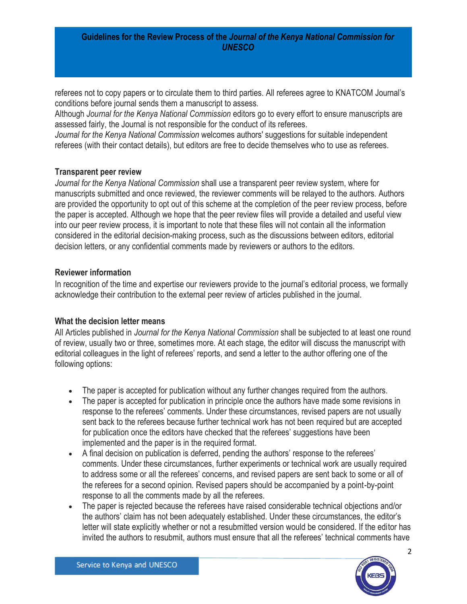#### **Guidelines for the Review Process of the** *Journal of the Kenya National Commission for UNESCO*

referees not to copy papers or to circulate them to third parties. All referees agree to KNATCOM Journal's conditions before journal sends them a manuscript to assess.

Although *Journal for the Kenya National Commission* editors go to every effort to ensure manuscripts are assessed fairly, the Journal is not responsible for the conduct of its referees.

*Journal for the Kenya National Commission* welcomes authors' suggestions for suitable independent referees (with their contact details), but editors are free to decide themselves who to use as referees.

#### **Transparent peer review**

*Journal for the Kenya National Commission* shall use a transparent peer review system, where for manuscripts submitted and once reviewed, the reviewer comments will be relayed to the authors. Authors are provided the opportunity to opt out of this scheme at the completion of the peer review process, before the paper is accepted. Although we hope that the peer review files will provide a detailed and useful view into our peer review process, it is important to note that these files will not contain all the information considered in the editorial decision-making process, such as the discussions between editors, editorial decision letters, or any confidential comments made by reviewers or authors to the editors.

### **Reviewer information**

In recognition of the time and expertise our reviewers provide to the journal's editorial process, we formally acknowledge their contribution to the external peer review of articles published in the journal.

## **What the decision letter means**

All Articles published in *Journal for the Kenya National Commission* shall be subjected to at least one round of review, usually two or three, sometimes more. At each stage, the editor will discuss the manuscript with editorial colleagues in the light of referees' reports, and send a letter to the author offering one of the following options:

- The paper is accepted for publication without any further changes required from the authors.
- The paper is accepted for publication in principle once the authors have made some revisions in response to the referees' comments. Under these circumstances, revised papers are not usually sent back to the referees because further technical work has not been required but are accepted for publication once the editors have checked that the referees' suggestions have been implemented and the paper is in the required format.
- A final decision on publication is deferred, pending the authors' response to the referees' comments. Under these circumstances, further experiments or technical work are usually required to address some or all the referees' concerns, and revised papers are sent back to some or all of the referees for a second opinion. Revised papers should be accompanied by a point-by-point response to all the comments made by all the referees.
- The paper is rejected because the referees have raised considerable technical objections and/or the authors' claim has not been adequately established. Under these circumstances, the editor's letter will state explicitly whether or not a resubmitted version would be considered. If the editor has invited the authors to resubmit, authors must ensure that all the referees' technical comments have

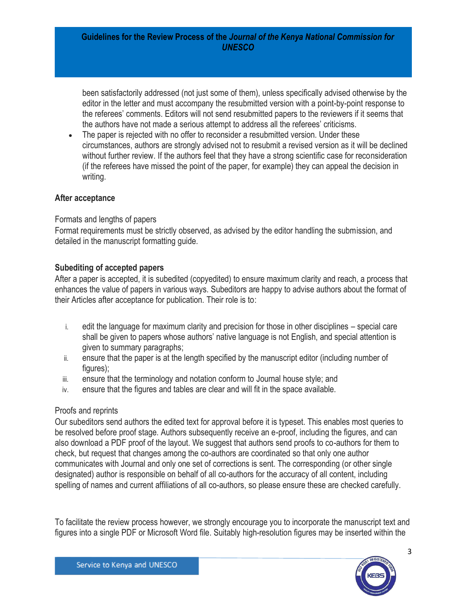#### **Guidelines for the Review Process of the** *Journal of the Kenya National Commission for UNESCO*

been satisfactorily addressed (not just some of them), unless specifically advised otherwise by the editor in the letter and must accompany the resubmitted version with a point-by-point response to the referees' comments. Editors will not send resubmitted papers to the reviewers if it seems that the authors have not made a serious attempt to address all the referees' criticisms.

• The paper is rejected with no offer to reconsider a resubmitted version. Under these circumstances, authors are strongly advised not to resubmit a revised version as it will be declined without further review. If the authors feel that they have a strong scientific case for reconsideration (if the referees have missed the point of the paper, for example) they can appeal the decision in writing.

## **After acceptance**

### Formats and lengths of papers

Format requirements must be strictly observed, as advised by the editor handling the submission, and detailed in the manuscript formatting guide.

### **Subediting of accepted papers**

After a paper is accepted, it is subedited (copyedited) to ensure maximum clarity and reach, a process that enhances the value of papers in various ways. Subeditors are happy to advise authors about the format of their Articles after acceptance for publication. Their role is to:

- i. edit the language for maximum clarity and precision for those in other disciplines special care shall be given to papers whose authors' native language is not English, and special attention is given to summary paragraphs;
- ii. ensure that the paper is at the length specified by the manuscript editor (including number of figures);
- iii. ensure that the terminology and notation conform to Journal house style; and
- iv. ensure that the figures and tables are clear and will fit in the space available.

#### Proofs and reprints

Our subeditors send authors the edited text for approval before it is typeset. This enables most queries to be resolved before proof stage. Authors subsequently receive an e-proof, including the figures, and can also download a PDF proof of the layout. We suggest that authors send proofs to co-authors for them to check, but request that changes among the co-authors are coordinated so that only one author communicates with Journal and only one set of corrections is sent. The corresponding (or other single designated) author is responsible on behalf of all co-authors for the accuracy of all content, including spelling of names and current affiliations of all co-authors, so please ensure these are checked carefully.

To facilitate the review process however, we strongly encourage you to incorporate the manuscript text and figures into a single PDF or Microsoft Word file. Suitably high-resolution figures may be inserted within the